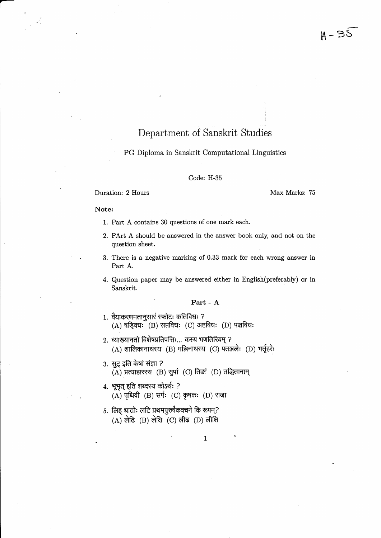# Department of Sanskrit Studies

## PG Diploma in Sanskrit Computational Linguistics

#### Code: H-35

### **Duration: 2 Hours Max Marks: 75**

### Note:

-

- 1. Part A contains 30 questions of one mark each.
- 2. PArt A should be answered in the answer book only, and not on the question sheet.
- 3. There is a negative marking of 0.33 mark for each wrong answer in Part A.
- 4. Question paper may be answered either in English(preferably) or in Sanskrit.

## Part - A

 $\mathbf{1}$ 

- 1. वैयाकरणमतानुसारं स्फोटः कतिविधः ?  $(A)$  षड्विधः (B) सप्तविधः (C) अष्टविधः (D) पञ्चविधः
- 2. व्याख्यानतो विशेषप्रतिपत्तिः... कस्य भणतिरियम् ?  $(A)$  शालिकानाथस्य  $(B)$  मल्लिनाथस्य  $(C)$  पतञ्जलेः  $(D)$  भर्तृहरेः
- 3. सुट् इति केषां संज्ञा ?  $(A)$  प्रत्याहारस्य  $(B)$  सुपां  $(C)$  तिड़ां  $(D)$  तद्धितानाम्
- 4. भूभृत् इति शब्दस्य कोऽर्थः ?  $(A)$  पृथिवी  $(B)$  सर्पः  $(C)$  कृषकः  $(D)$  राजा
- 5. लिह् धातोः लटि प्रथमपुरुषैकवचने किं रूपम्?  $(A)$  लेढि  $(B)$  लेक्षि  $(C)$  लीढ  $(D)$  लीक्षि

'1'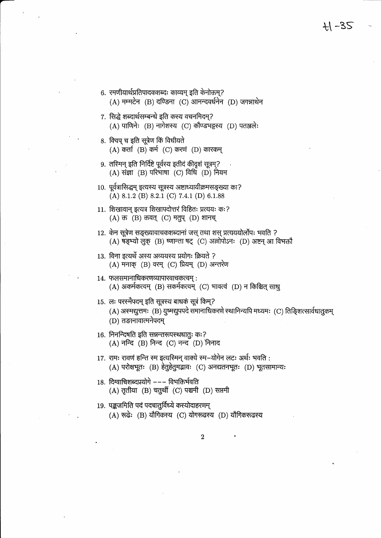$H - 35$ 

- 7. सिद्धे शब्दार्थसम्बन्धे इति कस्य वचनमिदम?  $(A)$  पाणिनेः (B) नागेशस्य (C) कौण्डभट्टस्य (D) पतञ्जलेः
- 8. क्विप् च इति सूत्रेण किं विधीयते  $(A)$  कर्ता  $(B)$  कर्म  $(C)$  करणं  $(D)$  कारकम्
- ९. तरिमन् इति निर्दिष्टे पूर्वस्य इतीदं कीदृशं सूत्रम्?  $(A)$  संज्ञा (B) परिभाषा (C) विधि (D) नियम
- 10. पूर्वत्रासिद्धम् इत्यस्य सूत्रस्य अष्टाध्यायीक्रमसङ्ख्या का? (A) 8.1.2 (B) 8.2.1 (C) 7.4.1 (D) 6.1.88
- 11. शिखावान् इत्यत्र शिखापदोत्तरं विहितः प्रत्ययः कः?  $(A)$  क्त  $(B)$  क्तवत्  $(C)$  मतुप्  $(D)$  शानच्
- 12. केन सूत्रेण सङ्ख्यावाचकशब्दानां जस् तथा शस् प्रत्यययोर्लोपः भवति ?  $(A)$  षड्भ्यो लुक् (B) ष्णान्ता षट् (C) अल्लोपोऽनः (D) अष्टन् आ विभक्तौ
- 13. विना इत्यर्थे अस्य अव्ययस्य प्रयोगः क्रियते ?  $(A)$  मनाक्  $(B)$  वरम्  $(C)$  प्रियम्  $(D)$  अन्तरेण
- 14. फलसमानाधिकरणव्यापारवाचकत्वम् : (A) अकर्मकत्वम् (B) सकर्मकत्वम् (C) भावत्वं (D) न किञ्चित् साधु
- 15. लः परस्मैपदम् इति सूत्रस्य बाधकं सूत्रं किम्?
	- (A) अस्मद्युत्तमः (B) युष्मद्युपपदे समानाधिकरणे स्थानिन्यपि मध्यमः (C) तिङ्शित्सार्वधातुकम् (D) तङानावात्मनेपदम्
- 16. निनन्दिषति इति सन्नन्तरूपस्थधातुः कः? (A) नन्दि (B) निन्द (C) नन्द (D) निनाद
- 17. रामः रावणं हन्ति स्म इत्यस्मिन् वाक्ये स्म-योगेन लटः अर्थः भवति : (A) परोक्षभूतः (B) हेतुहेतुमद्भावः (C) अनद्यतनभूतः (D) भूतसामान्यः
- 18. दिग्वाचिशब्दप्रयोगे ––– विभक्तिर्भवति (A) तृतीया (B) चतुर्थी (C) पञ्चमी (D) सप्तमी
- 19. पङ्कजमिति पदं पदचातुर्विध्ये कस्योदाहरणम्
	- (A) रूढेः (B) यौगिकस्य (C) योगरूढस्य (D) यौगिकरूढस्य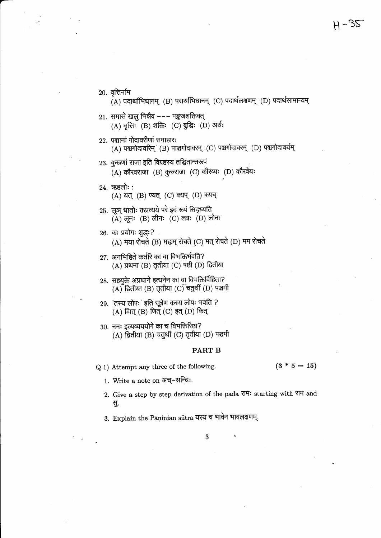20. वृत्तिर्नाम

- $(A)$  पदार्थाभिधानम् (B) परार्थाभिधानम् (C) पदार्थलक्षणम् (D) पदार्थसामान्यम्
- $21.$  समासे खल भिन्नैव --- पङ्कजशक्तिवत् (A) वृत्तिः (B) शक्तिः (C) बुद्धिः (D) अर्थः
- 22. पञ्चानां गोदावरीणां समाहारः (A) पञ्चगोदावरिम् (B) पाञ्चगोदावरम् (C) पञ्चगोदावरम् (D) पञ्चगोदावर्यम्
- 23. कूरूणां राजा इति विग्रहस्य तद्धितान्तरूपं  $(A)$  कौरवराजा (B) कुरुराजा (C) कौरव्यः (D) कौरवेयः
- $24.$  ऋहलोः:

(A) यत् (B) ण्यत् (C) क्यप् (D) क्यच्

25. लूञ् धातोः क्तप्रत्यये परे इदं रूपं सिद्ध्यति  $(A)$  लूनः (B) लीनः (C) लग्नः (D) लोनः

## 26. कः प्रयोगः शुद्धः?

 $(A)$  मया रोचते (B) मह्यम् रोचते (C) मत् रोचते (D) मम रोचते

- 27. अनभिहिते कर्तरि का वा विभक्तिर्भवति? (A) प्रथमा (B) तृतीया (C) षष्ठी (D) द्वितीया
- 28. सहयुक्ते अप्रधाने इत्यनेन का वा विभक्तिर्विहिता?  $(A)$  द्वितीया (B) तृतीया (C) चतुर्थी (D) पञ्चमी
- 29. 'तस्य लोपः' इति सूत्रेण कस्य लोपः भवति ? (A) ञित् (B) णित् (C) इत् (D) कित्
- 30. नमः इत्यव्यययोगे का च विभक्तिरिष्ठा?  $(A)$  द्वितीया (B) चतुर्थी (C) तृतीया (D) पञ्चमी

### PART B

Q 1) Attempt any three of the following.

 $(3 * 5 = 15)$ 

- 1. Write a note on अच्-सन्धिः.
- 2. Give a step by step derivation of the pada राम: starting with राम and सु.
- 3. Explain the Pāṇinian sūtra यस्य च भावेन भावलक्षणम्.